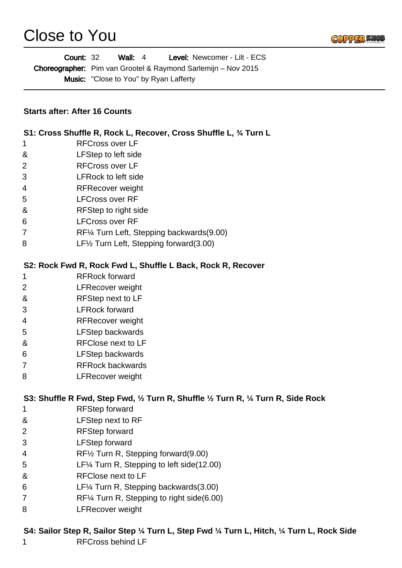## Close to You



| Level: Newcomer - Lilt - ECS<br><b>Count: 32</b><br>Wall: $4$<br>Choreographer: Pim van Grootel & Raymond Sarlemijn - Nov 2015<br><b>Music:</b> "Close to You" by Ryan Lafferty<br><b>Starts after: After 16 Counts</b> |                                                                                    |  |
|-------------------------------------------------------------------------------------------------------------------------------------------------------------------------------------------------------------------------|------------------------------------------------------------------------------------|--|
|                                                                                                                                                                                                                         |                                                                                    |  |
| 1                                                                                                                                                                                                                       | <b>RFCross over LF</b>                                                             |  |
| &                                                                                                                                                                                                                       | LFStep to left side                                                                |  |
| 2                                                                                                                                                                                                                       | <b>RFCross over LF</b>                                                             |  |
| 3                                                                                                                                                                                                                       | <b>LFRock to left side</b>                                                         |  |
| 4                                                                                                                                                                                                                       | <b>RFRecover weight</b>                                                            |  |
| 5                                                                                                                                                                                                                       | <b>LFCross over RF</b>                                                             |  |
| &                                                                                                                                                                                                                       | RFStep to right side                                                               |  |
| 6                                                                                                                                                                                                                       | <b>LFCross over RF</b>                                                             |  |
| 7                                                                                                                                                                                                                       | RF1/4 Turn Left, Stepping backwards (9.00)                                         |  |
| 8                                                                                                                                                                                                                       | LF <sup>1/2</sup> Turn Left, Stepping forward (3.00)                               |  |
|                                                                                                                                                                                                                         | S2: Rock Fwd R, Rock Fwd L, Shuffle L Back, Rock R, Recover                        |  |
| 1                                                                                                                                                                                                                       | <b>RFRock forward</b>                                                              |  |
| 2                                                                                                                                                                                                                       | <b>LFRecover weight</b>                                                            |  |
| &                                                                                                                                                                                                                       | RFStep next to LF                                                                  |  |
| 3                                                                                                                                                                                                                       | <b>LFRock forward</b>                                                              |  |
| 4                                                                                                                                                                                                                       | <b>RFRecover weight</b>                                                            |  |
| 5                                                                                                                                                                                                                       | <b>LFStep backwards</b>                                                            |  |
| &                                                                                                                                                                                                                       | <b>RFClose next to LF</b>                                                          |  |
| 6                                                                                                                                                                                                                       | <b>LFStep backwards</b>                                                            |  |
| 7                                                                                                                                                                                                                       | <b>RFRock backwards</b>                                                            |  |
| 8                                                                                                                                                                                                                       | <b>LFRecover weight</b>                                                            |  |
|                                                                                                                                                                                                                         | S3: Shuffle R Fwd, Step Fwd, 1/2 Turn R, Shuffle 1/2 Turn R, 1/4 Turn R, Side Rock |  |
| 1                                                                                                                                                                                                                       | <b>RFStep forward</b>                                                              |  |
| &                                                                                                                                                                                                                       | LFStep next to RF                                                                  |  |
| 2                                                                                                                                                                                                                       | <b>RFStep forward</b>                                                              |  |
| 3                                                                                                                                                                                                                       | <b>LFStep forward</b>                                                              |  |
| 4                                                                                                                                                                                                                       | RF1/2 Turn R, Stepping forward (9.00)                                              |  |
| 5                                                                                                                                                                                                                       | LF1/4 Turn R, Stepping to left side (12.00)                                        |  |
| &                                                                                                                                                                                                                       | <b>RFClose next to LF</b>                                                          |  |
| 6                                                                                                                                                                                                                       | LF1/4 Turn R, Stepping backwards (3.00)                                            |  |
| 7                                                                                                                                                                                                                       | RF1/4 Turn R, Stepping to right side(6.00)                                         |  |
| 8                                                                                                                                                                                                                       | <b>LFRecover weight</b>                                                            |  |

## **S4: Sailor Step R, Sailor Step ¼ Turn L, Step Fwd ¼ Turn L, Hitch, ¼ Turn L, Rock Side** RFCross behind LF